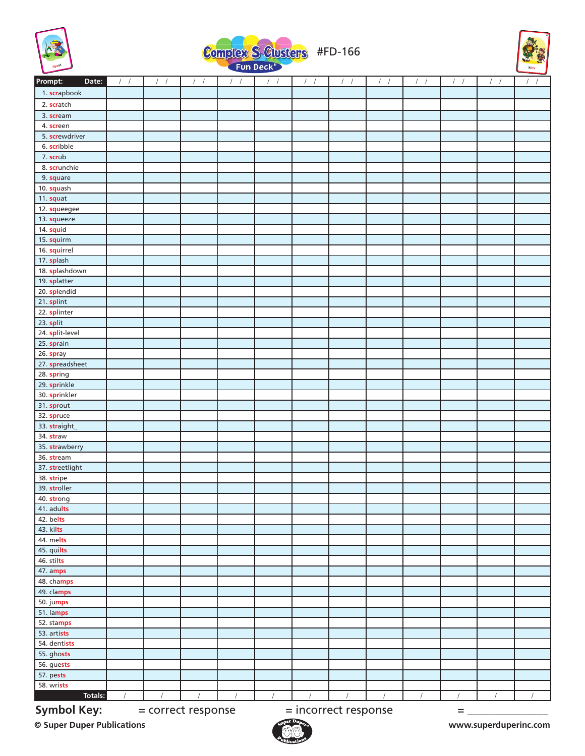





| Prompt:<br>Date:       | $/$ /    | $\sqrt{2}$<br>$\sqrt{2}$ | $\sqrt{2}$<br>$\sqrt{ }$ | $\sqrt{2}$<br>$\sqrt{ }$ | $\sqrt{ }$<br>$\sqrt{2}$ | $\sqrt{ }$           | $\prime$<br>$\sqrt{ }$ | $\left  \right $ | $\sqrt{2}$<br>$\sqrt{ }$ | $\sqrt{2}$<br>$\sqrt{ }$ | $/$ / | $\equiv$<br>$\sqrt{2}$<br>$\sqrt{2}$ |
|------------------------|----------|--------------------------|--------------------------|--------------------------|--------------------------|----------------------|------------------------|------------------|--------------------------|--------------------------|-------|--------------------------------------|
| 1. scrapbook           |          |                          |                          |                          |                          |                      |                        |                  |                          |                          |       |                                      |
| 2. scratch             |          |                          |                          |                          |                          |                      |                        |                  |                          |                          |       |                                      |
| 3. scream              |          |                          |                          |                          |                          |                      |                        |                  |                          |                          |       |                                      |
| 4. screen              |          |                          |                          |                          |                          |                      |                        |                  |                          |                          |       |                                      |
| 5. screwdriver         |          |                          |                          |                          |                          |                      |                        |                  |                          |                          |       |                                      |
| 6. scribble            |          |                          |                          |                          |                          |                      |                        |                  |                          |                          |       |                                      |
| 7. scrub               |          |                          |                          |                          |                          |                      |                        |                  |                          |                          |       |                                      |
| 8. scrunchie           |          |                          |                          |                          |                          |                      |                        |                  |                          |                          |       |                                      |
| 9. square              |          |                          |                          |                          |                          |                      |                        |                  |                          |                          |       |                                      |
| 10. squash             |          |                          |                          |                          |                          |                      |                        |                  |                          |                          |       |                                      |
| 11. squat              |          |                          |                          |                          |                          |                      |                        |                  |                          |                          |       |                                      |
| 12. squeegee           |          |                          |                          |                          |                          |                      |                        |                  |                          |                          |       |                                      |
| 13. squeeze            |          |                          |                          |                          |                          |                      |                        |                  |                          |                          |       |                                      |
| 14. squid              |          |                          |                          |                          |                          |                      |                        |                  |                          |                          |       |                                      |
| 15. squirm             |          |                          |                          |                          |                          |                      |                        |                  |                          |                          |       |                                      |
| 16. squirrel           |          |                          |                          |                          |                          |                      |                        |                  |                          |                          |       |                                      |
| 17. splash             |          |                          |                          |                          |                          |                      |                        |                  |                          |                          |       |                                      |
| 18. splashdown         |          |                          |                          |                          |                          |                      |                        |                  |                          |                          |       |                                      |
| 19. splatter           |          |                          |                          |                          |                          |                      |                        |                  |                          |                          |       |                                      |
| 20. splendid           |          |                          |                          |                          |                          |                      |                        |                  |                          |                          |       |                                      |
| 21. splint             |          |                          |                          |                          |                          |                      |                        |                  |                          |                          |       |                                      |
| 22. splinter           |          |                          |                          |                          |                          |                      |                        |                  |                          |                          |       |                                      |
| $23.$ split            |          |                          |                          |                          |                          |                      |                        |                  |                          |                          |       |                                      |
| 24. split-level        |          |                          |                          |                          |                          |                      |                        |                  |                          |                          |       |                                      |
| 25. sprain             |          |                          |                          |                          |                          |                      |                        |                  |                          |                          |       |                                      |
| 26. spray              |          |                          |                          |                          |                          |                      |                        |                  |                          |                          |       |                                      |
| 27. spreadsheet        |          |                          |                          |                          |                          |                      |                        |                  |                          |                          |       |                                      |
| 28. spring             |          |                          |                          |                          |                          |                      |                        |                  |                          |                          |       |                                      |
| 29. sprinkle           |          |                          |                          |                          |                          |                      |                        |                  |                          |                          |       |                                      |
| 30. sprinkler          |          |                          |                          |                          |                          |                      |                        |                  |                          |                          |       |                                      |
| 31. sprout             |          |                          |                          |                          |                          |                      |                        |                  |                          |                          |       |                                      |
| 32. spruce             |          |                          |                          |                          |                          |                      |                        |                  |                          |                          |       |                                      |
| 33. straight_          |          |                          |                          |                          |                          |                      |                        |                  |                          |                          |       |                                      |
| 34. straw              |          |                          |                          |                          |                          |                      |                        |                  |                          |                          |       |                                      |
| 35. strawberry         |          |                          |                          |                          |                          |                      |                        |                  |                          |                          |       |                                      |
| 36. stream             |          |                          |                          |                          |                          |                      |                        |                  |                          |                          |       |                                      |
| 37. streetlight        |          |                          |                          |                          |                          |                      |                        |                  |                          |                          |       |                                      |
| 38. stripe             |          |                          |                          |                          |                          |                      |                        |                  |                          |                          |       |                                      |
| 39. stroller           |          |                          |                          |                          |                          |                      |                        |                  |                          |                          |       |                                      |
| 40. strong             |          |                          |                          |                          |                          |                      |                        |                  |                          |                          |       |                                      |
| 41. adults             |          |                          |                          |                          |                          |                      |                        |                  |                          |                          |       |                                      |
| 42. belts<br>43. kilts |          |                          |                          |                          |                          |                      |                        |                  |                          |                          |       |                                      |
| 44. melts              |          |                          |                          |                          |                          |                      |                        |                  |                          |                          |       |                                      |
| 45. quilts             |          |                          |                          |                          |                          |                      |                        |                  |                          |                          |       |                                      |
| 46. stilts             |          |                          |                          |                          |                          |                      |                        |                  |                          |                          |       |                                      |
| 47. amps               |          |                          |                          |                          |                          |                      |                        |                  |                          |                          |       |                                      |
| 48. champs             |          |                          |                          |                          |                          |                      |                        |                  |                          |                          |       |                                      |
| 49. clamps             |          |                          |                          |                          |                          |                      |                        |                  |                          |                          |       |                                      |
| 50. jumps              |          |                          |                          |                          |                          |                      |                        |                  |                          |                          |       |                                      |
| 51. lamps              |          |                          |                          |                          |                          |                      |                        |                  |                          |                          |       |                                      |
| 52. stamps             |          |                          |                          |                          |                          |                      |                        |                  |                          |                          |       |                                      |
| 53. artists            |          |                          |                          |                          |                          |                      |                        |                  |                          |                          |       |                                      |
| 54. dentists           |          |                          |                          |                          |                          |                      |                        |                  |                          |                          |       |                                      |
| 55. ghosts             |          |                          |                          |                          |                          |                      |                        |                  |                          |                          |       |                                      |
| 56. guests             |          |                          |                          |                          |                          |                      |                        |                  |                          |                          |       |                                      |
| 57. pests              |          |                          |                          |                          |                          |                      |                        |                  |                          |                          |       |                                      |
| 58. wrists             |          |                          |                          |                          |                          |                      |                        |                  |                          |                          |       |                                      |
| Totals:                | $\prime$ |                          |                          |                          |                          |                      |                        |                  |                          | $\prime$                 |       |                                      |
| <b>Symbol Key:</b>     |          |                          |                          |                          |                          |                      |                        |                  |                          |                          |       |                                      |
|                        |          |                          | = correct response       |                          |                          | = incorrect response |                        |                  |                          | $=$                      |       |                                      |